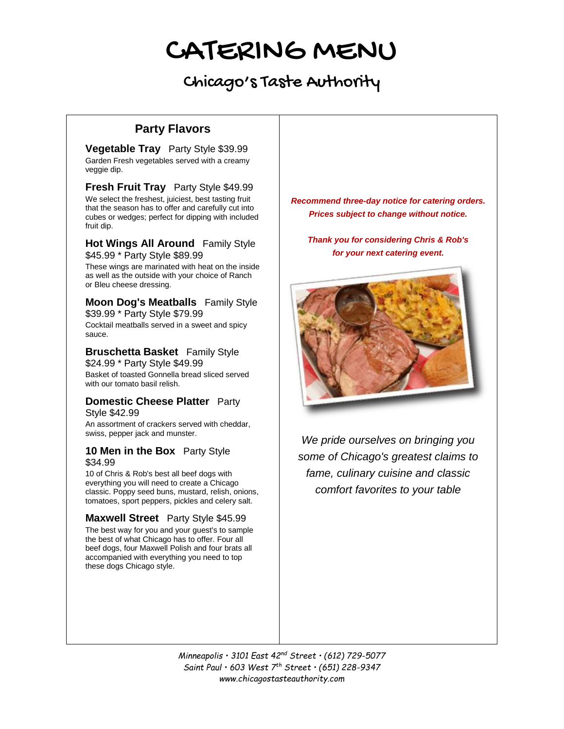# Chicago's Taste Authority

# **Party Flavors**

**Vegetable Tray** Party Style \$39.99 Garden Fresh vegetables served with a creamy veggie dip.

**Fresh Fruit Tray** Party Style \$49.99 We select the freshest, juiciest, best tasting fruit that the season has to offer and carefully cut into cubes or wedges; perfect for dipping with included fruit dip.

#### **Hot Wings All Around** Family Style \$45.99 \* Party Style \$89.99

These wings are marinated with heat on the inside as well as the outside with your choice of Ranch or Bleu cheese dressing.

### **Moon Dog's Meatballs** Family Style \$39.99 \* Party Style \$79.99

Cocktail meatballs served in a sweet and spicy sauce.

### **Bruschetta Basket** Family Style \$24.99 \* Party Style \$49.99

Basket of toasted Gonnella bread sliced served with our tomato basil relish.

### **Domestic Cheese Platter** Party Style \$42.99

An assortment of crackers served with cheddar, swiss, pepper jack and munster.

### **10 Men in the Box** Party Style \$34.99

10 of Chris & Rob's best all beef dogs with everything you will need to create a Chicago classic. Poppy seed buns, mustard, relish, onions, tomatoes, sport peppers, pickles and celery salt.

## **Maxwell Street** Party Style \$45.99

The best way for you and your guest's to sample the best of what Chicago has to offer. Four all beef dogs, four Maxwell Polish and four brats all accompanied with everything you need to top these dogs Chicago style.

*Recommend three-day notice for catering orders. Prices subject to change without notice.*

*Thank you for considering Chris & Rob's for your next catering event.*



*We pride ourselves on bringing you some of Chicago's greatest claims to fame, culinary cuisine and classic comfort favorites to your table*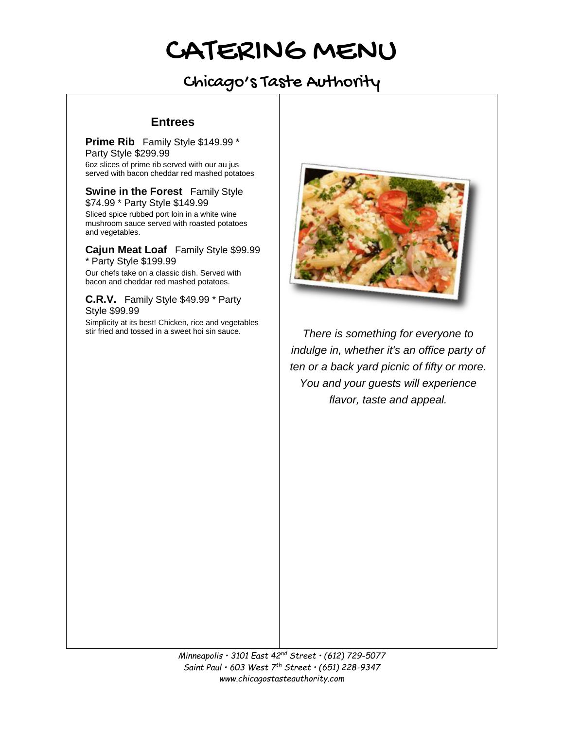# Chicago's Taste Authority

## **Entrees**

**Prime Rib** Family Style \$149.99 \* Party Style \$299.99

6oz slices of prime rib served with our au jus served with bacon cheddar red mashed potatoes

**Swine in the Forest** Family Style \$74.99 \* Party Style \$149.99 Sliced spice rubbed port loin in a white wine mushroom sauce served with roasted potatoes and vegetables.

**Cajun Meat Loaf** Family Style \$99.99 \* Party Style \$199.99

Our chefs take on a classic dish. Served with bacon and cheddar red mashed potatoes.

**C.R.V.** Family Style \$49.99 \* Party Style \$99.99

Simplicity at its best! Chicken, rice and vegetables stir fried and tossed in a sweet hoi sin sauce.



There is something for everyone to *indulge in, whether it's an office party of ten or a back yard picnic of fifty or more. You and your guests will experience flavor, taste and appeal.*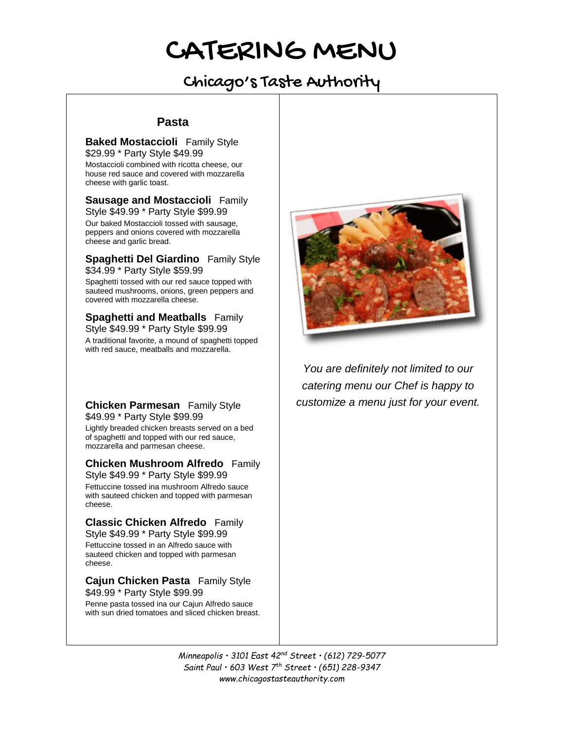# Chicago's Taste Authority

### **Pasta**

**Baked Mostaccioli** Family Style \$29.99 \* Party Style \$49.99

Mostaccioli combined with ricotta cheese, our house red sauce and covered with mozzarella cheese with garlic toast.

**Sausage and Mostaccioli** Family Style \$49.99 \* Party Style \$99.99

Our baked Mostaccioli tossed with sausage, peppers and onions covered with mozzarella cheese and garlic bread.

**Spaghetti Del Giardino** Family Style \$34.99 \* Party Style \$59.99 Spaghetti tossed with our red sauce topped with

sauteed mushrooms, onions, green peppers and covered with mozzarella cheese.

**Spaghetti and Meatballs** Family Style \$49.99 \* Party Style \$99.99 A traditional favorite, a mound of spaghetti topped with red sauce, meatballs and mozzarella.

**Chicken Parmesan** Family Style \$49.99 \* Party Style \$99.99

Lightly breaded chicken breasts served on a bed of spaghetti and topped with our red sauce, mozzarella and parmesan cheese.

**Chicken Mushroom Alfredo** Family Style \$49.99 \* Party Style \$99.99

Fettuccine tossed ina mushroom Alfredo sauce with sauteed chicken and topped with parmesan cheese.

**Classic Chicken Alfredo** Family Style \$49.99 \* Party Style \$99.99

Fettuccine tossed in an Alfredo sauce with sauteed chicken and topped with parmesan cheese.

**Cajun Chicken Pasta** Family Style \$49.99 \* Party Style \$99.99

Penne pasta tossed ina our Cajun Alfredo sauce with sun dried tomatoes and sliced chicken breast.



*You are definitely not limited to our catering menu our Chef is happy to customize a menu just for your event.*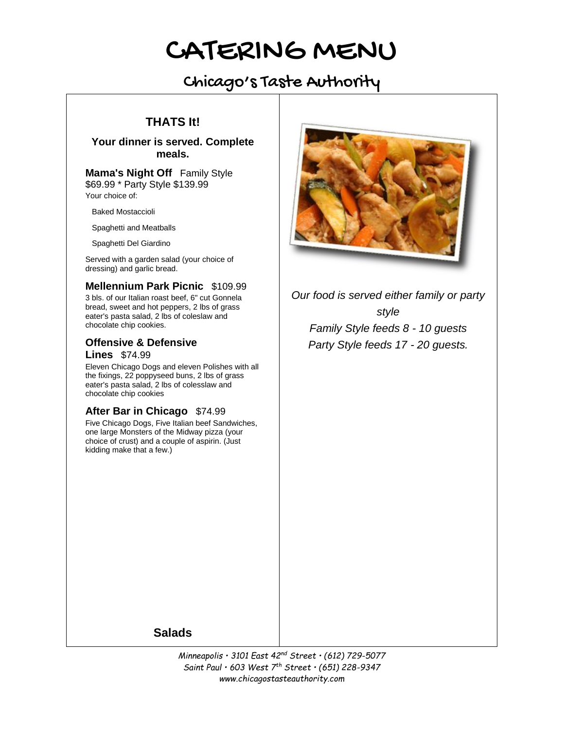# Chicago's Taste Authority

# **THATS It!**

## **Your dinner is served. Complete meals.**

**Mama's Night Off** Family Style \$69.99 \* Party Style \$139.99 Your choice of:

Baked Mostaccioli

Spaghetti and Meatballs

Spaghetti Del Giardino

Served with a garden salad (your choice of dressing) and garlic bread.

## **Mellennium Park Picnic** \$109.99

3 bls. of our Italian roast beef, 6" cut Gonnela bread, sweet and hot peppers, 2 lbs of grass eater's pasta salad, 2 lbs of coleslaw and chocolate chip cookies.

## **Offensive & Defensive Lines** \$74.99

Eleven Chicago Dogs and eleven Polishes with all the fixings, 22 poppyseed buns, 2 lbs of grass eater's pasta salad, 2 lbs of colesslaw and chocolate chip cookies

## **After Bar in Chicago** \$74.99

Five Chicago Dogs, Five Italian beef Sandwiches, one large Monsters of the Midway pizza (your choice of crust) and a couple of aspirin. (Just kidding make that a few.)



*Our food is served either family or party style Family Style feeds 8 - 10 guests Party Style feeds 17 - 20 guests.*

**Salads**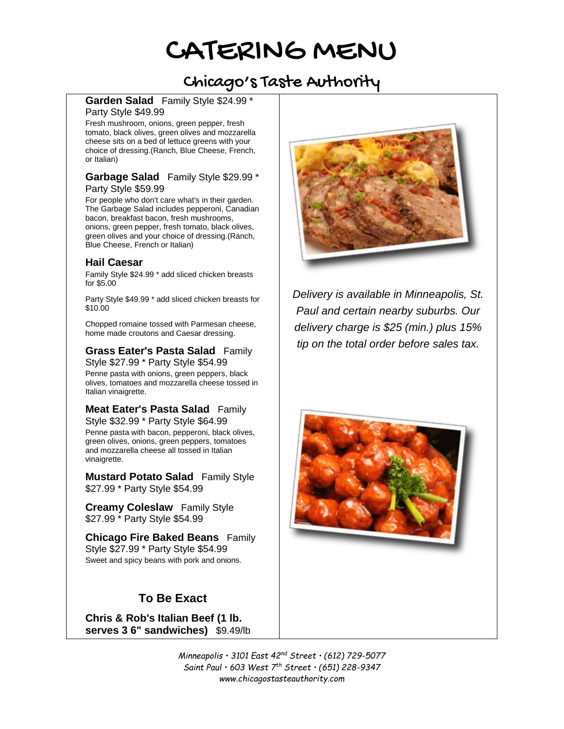# Chicago's Taste Authority

#### **Garden Salad** Family Style \$24.99 \* Party Style \$49.99

Fresh mushroom, onions, green pepper, fresh tomato, black olives, green olives and mozzarella cheese sits on a bed of lettuce greens with your choice of dressing.(Ranch, Blue Cheese, French, or Italian)

#### **Garbage Salad** Family Style \$29.99 \* Party Style \$59.99

For people who don't care what's in their garden. The Garbage Salad includes pepperoni, Canadian bacon, breakfast bacon, fresh mushrooms, onions, green pepper, fresh tomato, black olives, green olives and your choice of dressing.(Ranch, Blue Cheese, French or Italian)

## **Hail Caesar**

Family Style \$24.99 \* add sliced chicken breasts for \$5.00

Party Style \$49.99 \* add sliced chicken breasts for \$10.00

Chopped romaine tossed with Parmesan cheese, home made croutons and Caesar dressing.

#### **Grass Eater's Pasta Salad** Family Style \$27.99 \* Party Style \$54.99

Penne pasta with onions, green peppers, black olives, tomatoes and mozzarella cheese tossed in Italian vinaigrette.

# **Meat Eater's Pasta Salad** Family

Style \$32.99 \* Party Style \$64.99 Penne pasta with bacon, pepperoni, black olives, green olives, onions, green peppers, tomatoes and mozzarella cheese all tossed in Italian vinaigrette.

**Mustard Potato Salad** Family Style \$27.99 \* Party Style \$54.99

**Creamy Coleslaw** Family Style \$27.99 \* Party Style \$54.99

**Chicago Fire Baked Beans** Family Style \$27.99 \* Party Style \$54.99 Sweet and spicy beans with pork and onions.

# **To Be Exact**

**Chris & Rob's Italian Beef (1 lb. serves 3 6" sandwiches)** \$9.49/lb



*Delivery is available in Minneapolis, St. Paul and certain nearby suburbs. Our delivery charge is \$25 (min.) plus 15% tip on the total order before sales tax.*